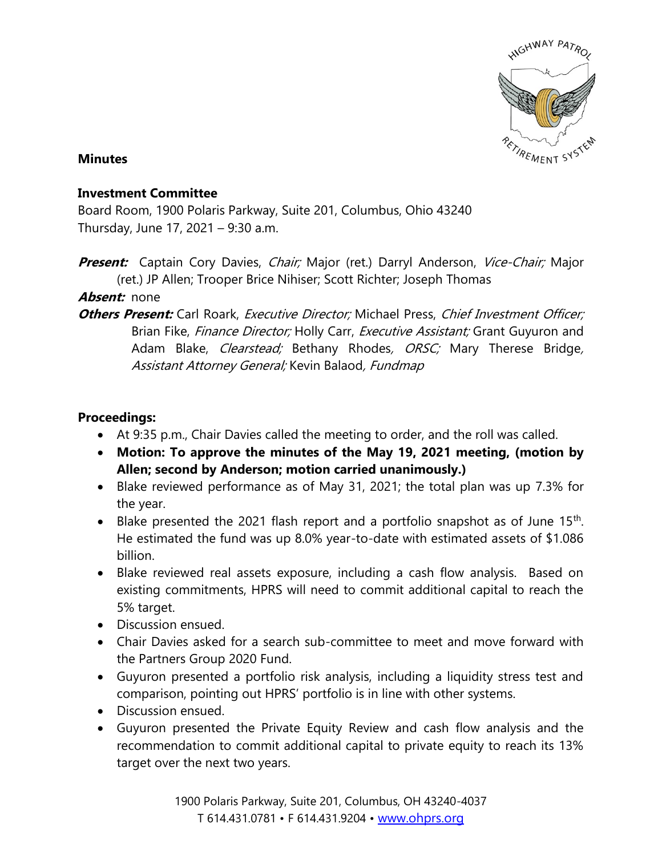

## **Minutes**

## **Investment Committee**

Board Room, 1900 Polaris Parkway, Suite 201, Columbus, Ohio 43240 Thursday, June 17, 2021 – 9:30 a.m.

Present: Captain Cory Davies, Chair; Major (ret.) Darryl Anderson, Vice-Chair; Major (ret.) JP Allen; Trooper Brice Nihiser; Scott Richter; Joseph Thomas

## **Absent:** none

**Others Present:** Carl Roark, Executive Director; Michael Press, Chief Investment Officer; Brian Fike, Finance Director; Holly Carr, Executive Assistant; Grant Guyuron and Adam Blake, *Clearstead;* Bethany Rhodes, *ORSC;* Mary Therese Bridge, Assistant Attorney General; Kevin Balaod, Fundmap

## **Proceedings:**

- At 9:35 p.m., Chair Davies called the meeting to order, and the roll was called.
- **Motion: To approve the minutes of the May 19, 2021 meeting, (motion by Allen; second by Anderson; motion carried unanimously.)**
- Blake reviewed performance as of May 31, 2021; the total plan was up 7.3% for the year.
- Blake presented the 2021 flash report and a portfolio snapshot as of June  $15<sup>th</sup>$ . He estimated the fund was up 8.0% year-to-date with estimated assets of \$1.086 billion.
- Blake reviewed real assets exposure, including a cash flow analysis. Based on existing commitments, HPRS will need to commit additional capital to reach the 5% target.
- Discussion ensued.
- Chair Davies asked for a search sub-committee to meet and move forward with the Partners Group 2020 Fund.
- Guyuron presented a portfolio risk analysis, including a liquidity stress test and comparison, pointing out HPRS' portfolio is in line with other systems.
- Discussion ensued.
- Guyuron presented the Private Equity Review and cash flow analysis and the recommendation to commit additional capital to private equity to reach its 13% target over the next two years.